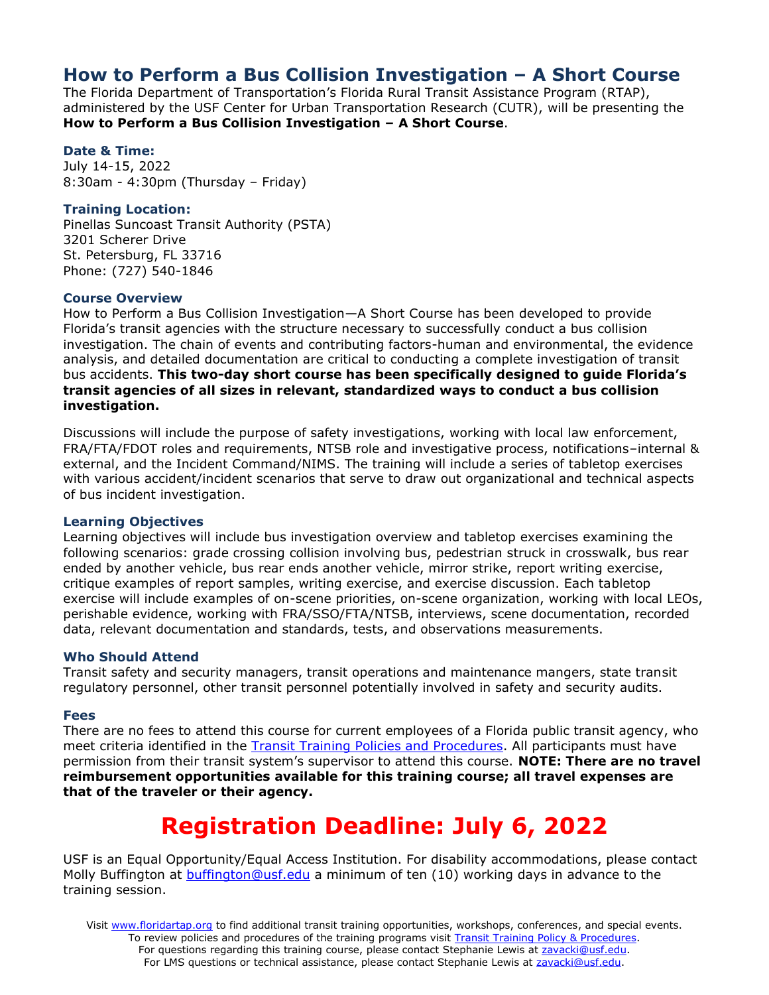# **How to Perform a Bus Collision Investigation – A Short Course**

The Florida Department of Transportation's Florida Rural Transit Assistance Program (RTAP), administered by the USF Center for Urban Transportation Research (CUTR), will be presenting the **How to Perform a Bus Collision Investigation – A Short Course**.

#### **Date & Time:**

July 14-15, 2022 8:30am - 4:30pm (Thursday – Friday)

#### **Training Location:**

Pinellas Suncoast Transit Authority (PSTA) 3201 Scherer Drive St. Petersburg, FL 33716 Phone: (727) 540-1846

#### **Course Overview**

How to Perform a Bus Collision Investigation—A Short Course has been developed to provide Florida's transit agencies with the structure necessary to successfully conduct a bus collision investigation. The chain of events and contributing factors-human and environmental, the evidence analysis, and detailed documentation are critical to conducting a complete investigation of transit bus accidents. **This two-day short course has been specifically designed to guide Florida's transit agencies of all sizes in relevant, standardized ways to conduct a bus collision investigation.** 

Discussions will include the purpose of safety investigations, working with local law enforcement, FRA/FTA/FDOT roles and requirements, NTSB role and investigative process, notifications–internal & external, and the Incident Command/NIMS. The training will include a series of tabletop exercises with various accident/incident scenarios that serve to draw out organizational and technical aspects of bus incident investigation.

# **Learning Objectives**

Learning objectives will include bus investigation overview and tabletop exercises examining the following scenarios: grade crossing collision involving bus, pedestrian struck in crosswalk, bus rear ended by another vehicle, bus rear ends another vehicle, mirror strike, report writing exercise, critique examples of report samples, writing exercise, and exercise discussion. Each tabletop exercise will include examples of on-scene priorities, on-scene organization, working with local LEOs, perishable evidence, working with FRA/SSO/FTA/NTSB, interviews, scene documentation, recorded data, relevant documentation and standards, tests, and observations measurements.

# **Who Should Attend**

Transit safety and security managers, transit operations and maintenance mangers, state transit regulatory personnel, other transit personnel potentially involved in safety and security audits.

#### **Fees**

There are no fees to attend this course for current employees of a Florida public transit agency, who meet criteria identified in the [Transit Training Policies and Procedures.](https://www.floridartap.org/wp-content/uploads/2019/06/TTATPoliciesFinal.pdf) All participants must have permission from their transit system's supervisor to attend this course. **NOTE: There are no travel reimbursement opportunities available for this training course; all travel expenses are that of the traveler or their agency.**

# **Registration Deadline: July 6, 2022**

USF is an Equal Opportunity/Equal Access Institution. For disability accommodations, please contact Molly Buffington at [buffington@usf.edu](mailto:buffington@usf.edu) a minimum of ten (10) working days in advance to the training session.

Visit [www.floridartap.org](http://www.floridartap.org/) to find additional transit training opportunities, workshops, conferences, and special events. To review policies and procedures of the training programs visit [Transit Training Policy & Procedures.](https://www.floridartap.org/wp-content/uploads/2019/06/TTATPoliciesFinal.pdf) For questions regarding this training course, please contact Stephanie Lewis at [zavacki@usf.edu.](mailto:zavacki@usf.edu) For LMS questions or technical assistance, please contact Stephanie Lewis at [zavacki@usf.edu.](mailto:zavacki@usf.edu)